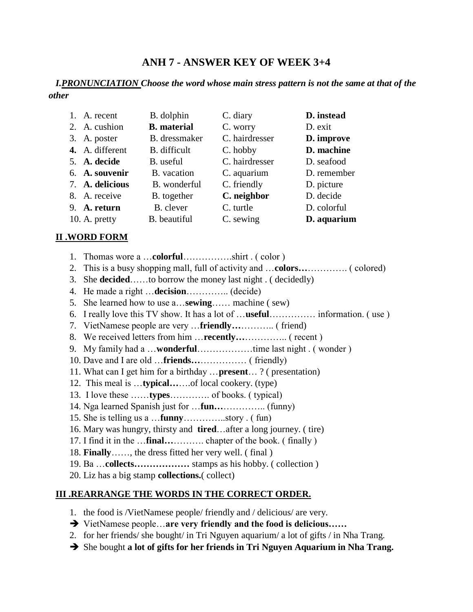# **ANH 7 - ANSWER KEY OF WEEK 3+4**

*I.PRONUNCIATION Choose the word whose main stress pattern is not the same at that of the other*

| 1. A. recent    | B. dolphin         | C. diary       | D. instead  |
|-----------------|--------------------|----------------|-------------|
| 2. A. cushion   | <b>B.</b> material | C. worry       | D. exit     |
| 3. A. poster    | B. dressmaker      | C. hairdresser | D. improve  |
| 4. A. different | B. difficult       | C. hobby       | D. machine  |
| 5. A. decide    | B. useful          | C. hairdresser | D. seafood  |
| 6. A. souvenir  | B. vacation        | C. aquarium    | D. remember |
| 7. A. delicious | B. wonderful       | C. friendly    | D. picture  |
| 8. A. receive   | B. together        | C. neighbor    | D. decide   |
| 9. A. return    | B. clever          | C. turtle      | D. colorful |
| 10. A. pretty   | B. beautiful       | C. sewing      | D. aquarium |

### **II .WORD FORM**

- 1. Thomas wore a …**colorful**…………….shirt . ( color )
- 2. This is a busy shopping mall, full of activity and …**colors…**…………. ( colored)
- 3. She **decided**……to borrow the money last night . ( decidedly)
- 4. He made a right …**decision**………….. (decide)
- 5. She learned how to use a…**sewing**…… machine ( sew)
- 6. I really love this TV show. It has a lot of …**useful**…………… information. ( use )
- 7. VietNamese people are very …**friendly…**……….. ( friend)
- 8. We received letters from him …**recently…**………….. ( recent )
- 9. My family had a …**wonderful**………………time last night . ( wonder )
- 10. Dave and I are old …**friends…**…………… ( friendly)
- 11. What can I get him for a birthday …**present**… ? ( presentation)
- 12. This meal is …**typical…**….of local cookery. (type)
- 13. I love these ……**types**…………. of books. ( typical)
- 14. Nga learned Spanish just for …**fun…**………….. (funny)
- 15. She is telling us a …**funny**…………..story . ( fun)
- 16. Mary was hungry, thirsty and **tired**…after a long journey. ( tire)
- 17. I find it in the …**final…**………. chapter of the book. ( finally )
- 18. **Finally**……, the dress fitted her very well. ( final )
- 19. Ba …**collects………………** stamps as his hobby. ( collection )
- 20. Liz has a big stamp **collections.**( collect)

#### **III .REARRANGE THE WORDS IN THE CORRECT ORDER.**

- 1. the food is /VietNamese people/ friendly and / delicious/ are very.
- **→** VietNamese people…are very friendly and the food is delicious……
- 2. for her friends/ she bought/ in Tri Nguyen aquarium/ a lot of gifts / in Nha Trang.
- $\rightarrow$  She bought **a lot of gifts for her friends in Tri Nguyen Aquarium in Nha Trang.**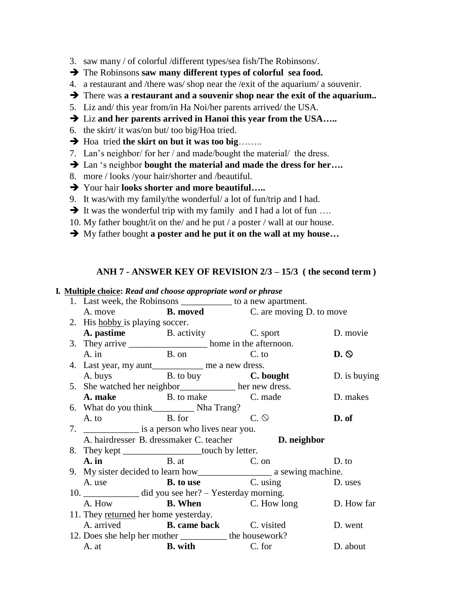- 3. saw many / of colorful /different types/sea fish/The Robinsons/.
- The Robinsons **saw many different types of colorful sea food.**
- 4. a restaurant and /there was/ shop near the /exit of the aquarium/ a souvenir.
- There was **a restaurant and a souvenir shop near the exit of the aquarium..**
- 5. Liz and/ this year from/in Ha Noi/her parents arrived/ the USA.
- → Liz and her parents arrived in Hanoi this year from the USA.....
- 6. the skirt/ it was/on but/ too big/Hoa tried.
- $\rightarrow$  Hoa tried the skirt on but it was too big……..
- 7. Lan's neighbor/ for her / and made/bought the material/ the dress.
- → Lan 's neighbor **bought the material and made the dress for her….**
- 8. more / looks /your hair/shorter and /beautiful.
- **→** Your hair **looks shorter and more beautiful….**
- 9. It was/with my family/the wonderful/ a lot of fun/trip and I had.
- $\rightarrow$  It was the wonderful trip with my family and I had a lot of fun ...
- 10. My father bought/it on the/ and he put / a poster / wall at our house.
- My father bought **a poster and he put it on the wall at my house…**

## **ANH 7 - ANSWER KEY OF REVISION 2/3 – 15/3 ( the second term )**

|                                                           | 1. Last week, the Robinsons _____________ to a new apartment. |  |                                                     |               |  |  |
|-----------------------------------------------------------|---------------------------------------------------------------|--|-----------------------------------------------------|---------------|--|--|
|                                                           |                                                               |  | A. move <b>B. moved C.</b> are moving D. to move    |               |  |  |
|                                                           | 2. His hobby is playing soccer.                               |  |                                                     |               |  |  |
|                                                           | <b>A. pastime</b> B. activity C. sport                        |  |                                                     | D. movie      |  |  |
|                                                           | 3. They arrive _______________________ home in the afternoon. |  |                                                     |               |  |  |
|                                                           | A. in B. on C. to                                             |  |                                                     | $D. \Diamond$ |  |  |
|                                                           | 4. Last year, my aunt_____________ me a new dress.            |  |                                                     |               |  |  |
|                                                           |                                                               |  | A. buys B. to buy <b>C. bought</b>                  | D. is buying  |  |  |
|                                                           | 5. She watched her neighbor__________ her new dress.          |  |                                                     |               |  |  |
|                                                           |                                                               |  | <b>A. make</b> B. to make C. made                   | D. makes      |  |  |
|                                                           |                                                               |  |                                                     |               |  |  |
|                                                           | A. to B. for C. $\odot$                                       |  |                                                     | D. of         |  |  |
|                                                           |                                                               |  |                                                     |               |  |  |
|                                                           |                                                               |  | A. hairdresser B. dressmaker C. teacher D. neighbor |               |  |  |
|                                                           | 8. They kept ___________________touch by letter.              |  |                                                     |               |  |  |
|                                                           |                                                               |  | <b>A. in</b> B. at C. on D. to                      |               |  |  |
|                                                           |                                                               |  |                                                     |               |  |  |
|                                                           |                                                               |  | A. use <b>B. to use C.</b> using <b>D.</b> uses     |               |  |  |
|                                                           | 10. _____________ did you see her? – Yesterday morning.       |  |                                                     |               |  |  |
|                                                           |                                                               |  | A. How <b>B. When C.</b> How long <b>D. How far</b> |               |  |  |
| 11. They returned her home yesterday.                     |                                                               |  |                                                     |               |  |  |
|                                                           |                                                               |  | A. arrived <b>B. came back</b> C. visited           | D. went       |  |  |
| 12. Does she help her mother _____________ the housework? |                                                               |  |                                                     |               |  |  |
|                                                           | A. at <b>B. with</b> C. for                                   |  |                                                     | D. about      |  |  |

#### **I. Multiple choice:** *Read and choose appropriate word or phrase*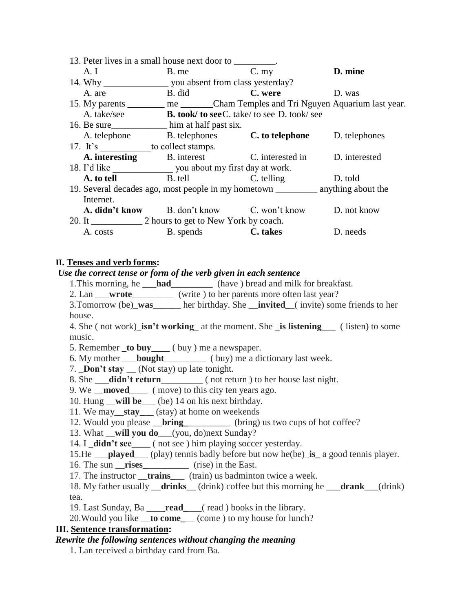| 13. Peter lives in a small house next door to __________. |                                                                   |                                                                                   |             |  |  |  |  |
|-----------------------------------------------------------|-------------------------------------------------------------------|-----------------------------------------------------------------------------------|-------------|--|--|--|--|
| A. I                                                      | B. me                                                             | $C.$ my                                                                           | D. mine     |  |  |  |  |
|                                                           | 14. Why ________________________ you absent from class yesterday? |                                                                                   |             |  |  |  |  |
| A. are                                                    |                                                                   | B. did C. were                                                                    | D. was      |  |  |  |  |
|                                                           |                                                                   | 15. My parents ________ me _______Cham Temples and Tri Nguyen Aquarium last year. |             |  |  |  |  |
| A. take/see                                               | <b>B.</b> took/ to see C. take/ to see D. took/ see               |                                                                                   |             |  |  |  |  |
|                                                           |                                                                   |                                                                                   |             |  |  |  |  |
|                                                           |                                                                   | A. telephone B. telephones C. to telephone D. telephones                          |             |  |  |  |  |
|                                                           | 17. It's to collect stamps.                                       |                                                                                   |             |  |  |  |  |
|                                                           |                                                                   | A. interesting B. interest B. interested in D. interested                         |             |  |  |  |  |
|                                                           | 18. I'd like you about my first day at work.                      |                                                                                   |             |  |  |  |  |
|                                                           | <b>A. to tell B.</b> tell <b>C.</b> telling                       |                                                                                   | D. told     |  |  |  |  |
|                                                           |                                                                   |                                                                                   |             |  |  |  |  |
| Internet.                                                 |                                                                   |                                                                                   |             |  |  |  |  |
|                                                           |                                                                   | <b>A. didn't know</b> B. don't know C. won't know                                 | D. not know |  |  |  |  |
|                                                           |                                                                   |                                                                                   |             |  |  |  |  |
| A. costs                                                  | B. spends <b>C. takes</b>                                         |                                                                                   | D. needs    |  |  |  |  |

#### **II. Tenses and verb forms:**

#### *Use the correct tense or form of the verb given in each sentence*

1.This morning, he \_\_\_**had**\_\_\_\_\_\_\_\_\_ (have ) bread and milk for breakfast.

2. Lan <u>wrote</u> (write ) to her parents more often last year?

3.Tomorrow (be)\_**was**\_\_\_\_\_\_ her birthday. She \_\_**invited\_**\_( invite) some friends to her house.

4. She ( not work)\_**isn't working**\_ at the moment. She \_**is listening**\_\_\_ ( listen) to some music.

- 5. Remember **\_to buy\_\_\_\_** ( buy ) me a newspaper.
- 6. My mother \_\_\_**bought**\_\_\_\_\_\_\_\_\_ ( buy) me a dictionary last week.
- 7. \_**Don't stay** \_\_ (Not stay) up late tonight.

8. She **\_\_\_didn't return** \_\_\_\_\_\_\_ ( not return ) to her house last night.

9. We \_\_**moved**\_\_\_\_ ( move) to this city ten years ago.

- 10. Hung \_\_**will be**\_\_\_ (be) 14 on his next birthday.
- 11. We may\_\_**stay\_**\_\_ (stay) at home on weekends
- 12. Would you please **\_\_bring** (bring) us two cups of hot coffee?
- 13. What \_\_**will you do**\_\_\_(you, do)next Sunday?
- 14. I \_**didn't see**\_\_\_\_ ( not see ) him playing soccer yesterday.

15.He \_\_\_**played**\_\_\_ (play) tennis badly before but now he(be)\_**is\_** a good tennis player.

- 16. The sun \_\_**rises\_**\_\_\_\_\_\_\_\_\_ (rise) in the East.
- 17. The instructor \_\_**trains\_**\_\_ (train) us badminton twice a week.

18. My father usually \_\_**drinks**\_\_ (drink) coffee but this morning he \_\_\_**drank**\_\_\_(drink) tea.

19. Last Sunday, Ba \_\_\_\_**read\_**\_\_\_( read ) books in the library.

20.Would you like \_\_**to come\_**\_\_ (come ) to my house for lunch?

### **III. Sentence transformation:**

## *Rewrite the following sentences without changing the meaning*

1. Lan received a birthday card from Ba.